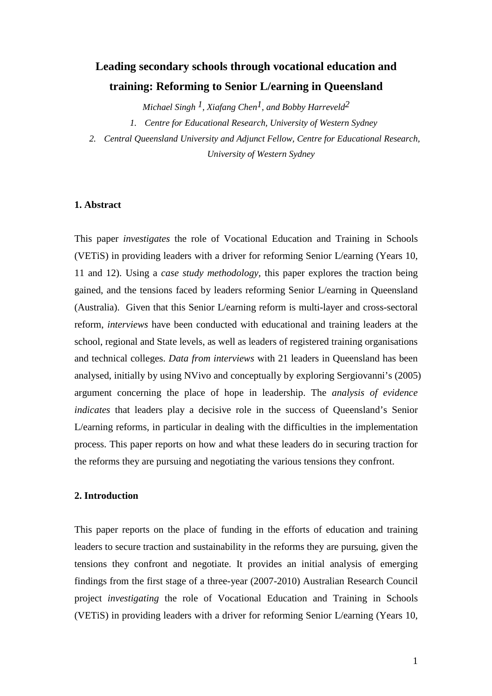# **Leading secondary schools through vocational education and training: Reforming to Senior L/earning in Queensland**

*Michael Singh 1, Xiafang Chen1, and Bobby Harreveld2* 

*1. Centre for Educational Research, University of Western Sydney* 

*2. Central Queensland University and Adjunct Fellow, Centre for Educational Research, University of Western Sydney* 

# **1. Abstract**

This paper *investigates* the role of Vocational Education and Training in Schools (VETiS) in providing leaders with a driver for reforming Senior L/earning (Years 10, 11 and 12). Using a *case study methodology,* this paper explores the traction being gained, and the tensions faced by leaders reforming Senior L/earning in Queensland (Australia). Given that this Senior L/earning reform is multi-layer and cross-sectoral reform, *interviews* have been conducted with educational and training leaders at the school, regional and State levels, as well as leaders of registered training organisations and technical colleges. *Data from interviews* with 21 leaders in Queensland has been analysed, initially by using NVivo and conceptually by exploring Sergiovanni's (2005) argument concerning the place of hope in leadership. The *analysis of evidence indicates* that leaders play a decisive role in the success of Queensland's Senior L/earning reforms, in particular in dealing with the difficulties in the implementation process. This paper reports on how and what these leaders do in securing traction for the reforms they are pursuing and negotiating the various tensions they confront.

# **2. Introduction**

This paper reports on the place of funding in the efforts of education and training leaders to secure traction and sustainability in the reforms they are pursuing, given the tensions they confront and negotiate. It provides an initial analysis of emerging findings from the first stage of a three-year (2007-2010) Australian Research Council project *investigating* the role of Vocational Education and Training in Schools (VETiS) in providing leaders with a driver for reforming Senior L/earning (Years 10,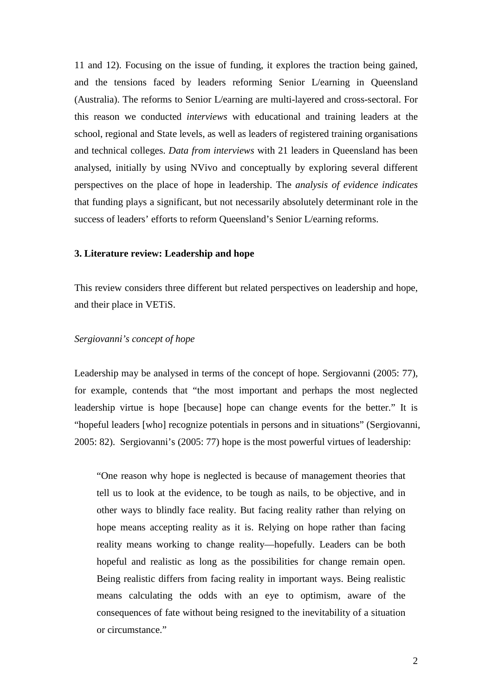11 and 12). Focusing on the issue of funding, it explores the traction being gained, and the tensions faced by leaders reforming Senior L/earning in Queensland (Australia). The reforms to Senior L/earning are multi-layered and cross-sectoral. For this reason we conducted *interviews* with educational and training leaders at the school, regional and State levels, as well as leaders of registered training organisations and technical colleges. *Data from interviews* with 21 leaders in Queensland has been analysed, initially by using NVivo and conceptually by exploring several different perspectives on the place of hope in leadership. The *analysis of evidence indicates* that funding plays a significant, but not necessarily absolutely determinant role in the success of leaders' efforts to reform Queensland's Senior L/earning reforms.

# **3. Literature review: Leadership and hope**

This review considers three different but related perspectives on leadership and hope, and their place in VETiS.

## *Sergiovanni's concept of hope*

Leadership may be analysed in terms of the concept of hope. Sergiovanni (2005: 77), for example, contends that "the most important and perhaps the most neglected leadership virtue is hope [because] hope can change events for the better." It is "hopeful leaders [who] recognize potentials in persons and in situations" (Sergiovanni, 2005: 82). Sergiovanni's (2005: 77) hope is the most powerful virtues of leadership:

"One reason why hope is neglected is because of management theories that tell us to look at the evidence, to be tough as nails, to be objective, and in other ways to blindly face reality. But facing reality rather than relying on hope means accepting reality as it is. Relying on hope rather than facing reality means working to change reality—hopefully. Leaders can be both hopeful and realistic as long as the possibilities for change remain open. Being realistic differs from facing reality in important ways. Being realistic means calculating the odds with an eye to optimism, aware of the consequences of fate without being resigned to the inevitability of a situation or circumstance."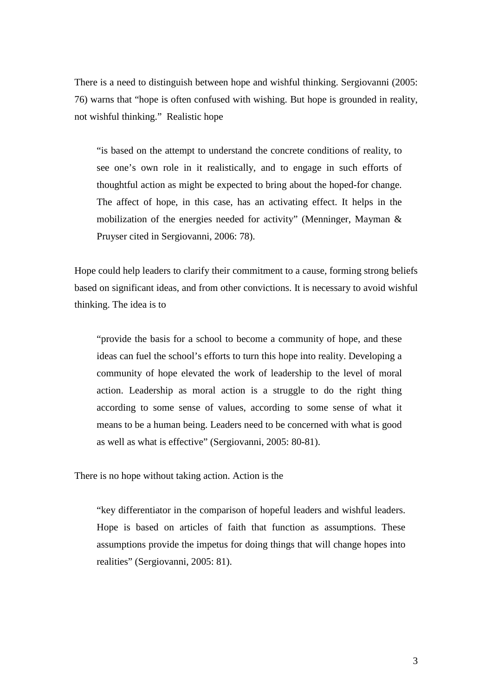There is a need to distinguish between hope and wishful thinking. Sergiovanni (2005: 76) warns that "hope is often confused with wishing. But hope is grounded in reality, not wishful thinking." Realistic hope

"is based on the attempt to understand the concrete conditions of reality, to see one's own role in it realistically, and to engage in such efforts of thoughtful action as might be expected to bring about the hoped-for change. The affect of hope, in this case, has an activating effect. It helps in the mobilization of the energies needed for activity" (Menninger, Mayman & Pruyser cited in Sergiovanni, 2006: 78).

Hope could help leaders to clarify their commitment to a cause, forming strong beliefs based on significant ideas, and from other convictions. It is necessary to avoid wishful thinking. The idea is to

"provide the basis for a school to become a community of hope, and these ideas can fuel the school's efforts to turn this hope into reality. Developing a community of hope elevated the work of leadership to the level of moral action. Leadership as moral action is a struggle to do the right thing according to some sense of values, according to some sense of what it means to be a human being. Leaders need to be concerned with what is good as well as what is effective" (Sergiovanni, 2005: 80-81).

There is no hope without taking action. Action is the

"key differentiator in the comparison of hopeful leaders and wishful leaders. Hope is based on articles of faith that function as assumptions. These assumptions provide the impetus for doing things that will change hopes into realities" (Sergiovanni, 2005: 81).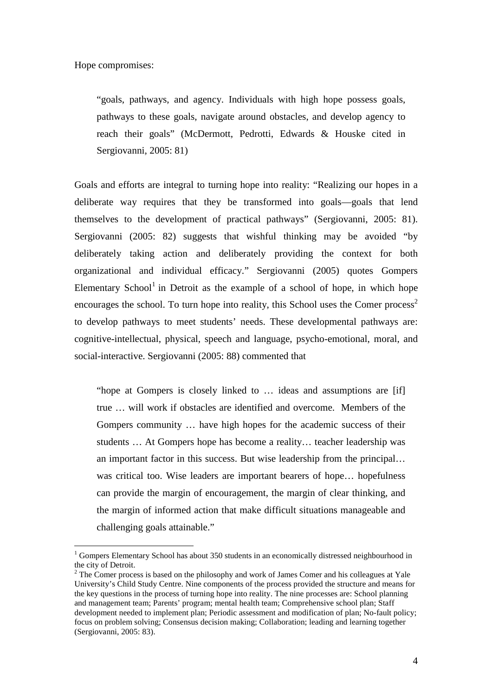Hope compromises:

 $\overline{a}$ 

"goals, pathways, and agency. Individuals with high hope possess goals, pathways to these goals, navigate around obstacles, and develop agency to reach their goals" (McDermott, Pedrotti, Edwards & Houske cited in Sergiovanni, 2005: 81)

Goals and efforts are integral to turning hope into reality: "Realizing our hopes in a deliberate way requires that they be transformed into goals—goals that lend themselves to the development of practical pathways" (Sergiovanni, 2005: 81). Sergiovanni (2005: 82) suggests that wishful thinking may be avoided "by deliberately taking action and deliberately providing the context for both organizational and individual efficacy." Sergiovanni (2005) quotes Gompers Elementary School $<sup>1</sup>$  in Detroit as the example of a school of hope, in which hope</sup> encourages the school. To turn hope into reality, this School uses the Comer process<sup>2</sup> to develop pathways to meet students' needs. These developmental pathways are: cognitive-intellectual, physical, speech and language, psycho-emotional, moral, and social-interactive. Sergiovanni (2005: 88) commented that

"hope at Gompers is closely linked to … ideas and assumptions are [if] true … will work if obstacles are identified and overcome. Members of the Gompers community … have high hopes for the academic success of their students … At Gompers hope has become a reality… teacher leadership was an important factor in this success. But wise leadership from the principal… was critical too. Wise leaders are important bearers of hope… hopefulness can provide the margin of encouragement, the margin of clear thinking, and the margin of informed action that make difficult situations manageable and challenging goals attainable."

<sup>&</sup>lt;sup>1</sup> Gompers Elementary School has about 350 students in an economically distressed neighbourhood in the city of Detroit.

 $2^2$  The Comer process is based on the philosophy and work of James Comer and his colleagues at Yale University's Child Study Centre. Nine components of the process provided the structure and means for the key questions in the process of turning hope into reality. The nine processes are: School planning and management team; Parents' program; mental health team; Comprehensive school plan; Staff development needed to implement plan; Periodic assessment and modification of plan; No-fault policy; focus on problem solving; Consensus decision making; Collaboration; leading and learning together (Sergiovanni, 2005: 83).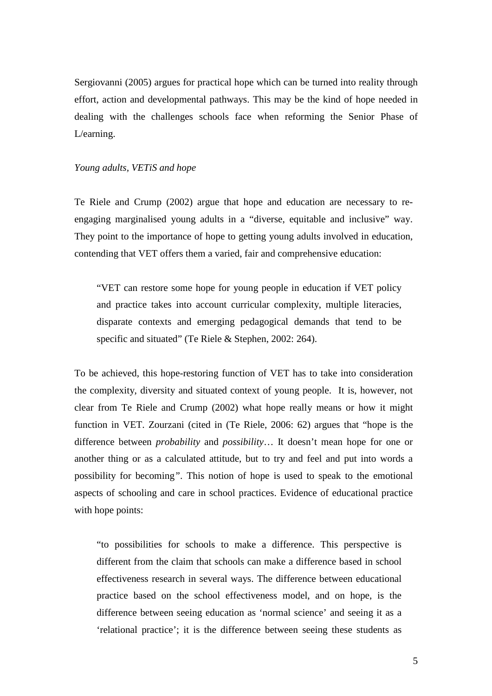Sergiovanni (2005) argues for practical hope which can be turned into reality through effort, action and developmental pathways. This may be the kind of hope needed in dealing with the challenges schools face when reforming the Senior Phase of L/earning.

# *Young adults, VETiS and hope*

Te Riele and Crump (2002) argue that hope and education are necessary to reengaging marginalised young adults in a "diverse, equitable and inclusive" way. They point to the importance of hope to getting young adults involved in education, contending that VET offers them a varied, fair and comprehensive education:

"VET can restore some hope for young people in education if VET policy and practice takes into account curricular complexity, multiple literacies, disparate contexts and emerging pedagogical demands that tend to be specific and situated" (Te Riele & Stephen, 2002: 264).

To be achieved, this hope-restoring function of VET has to take into consideration the complexity, diversity and situated context of young people. It is, however, not clear from Te Riele and Crump (2002) what hope really means or how it might function in VET. Zourzani (cited in (Te Riele, 2006: 62) argues that "hope is the difference between *probability* and *possibility*… It doesn't mean hope for one or another thing or as a calculated attitude, but to try and feel and put into words a possibility for becoming*"*. This notion of hope is used to speak to the emotional aspects of schooling and care in school practices. Evidence of educational practice with hope points:

"to possibilities for schools to make a difference. This perspective is different from the claim that schools can make a difference based in school effectiveness research in several ways. The difference between educational practice based on the school effectiveness model, and on hope, is the difference between seeing education as 'normal science' and seeing it as a 'relational practice'; it is the difference between seeing these students as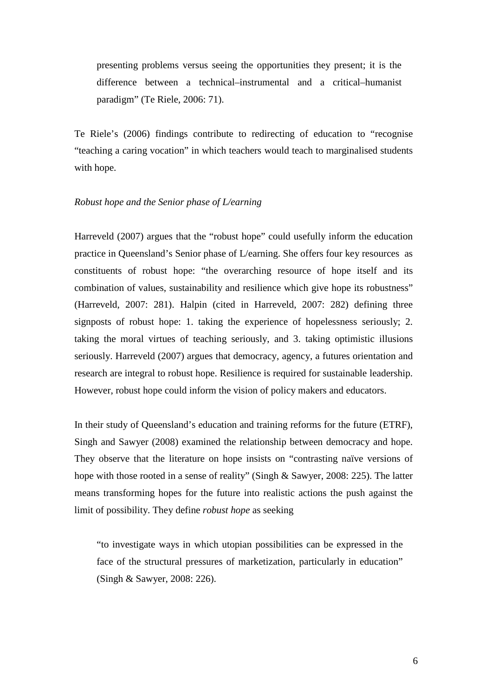presenting problems versus seeing the opportunities they present; it is the difference between a technical–instrumental and a critical–humanist paradigm" (Te Riele, 2006: 71).

Te Riele's (2006) findings contribute to redirecting of education to "recognise "teaching a caring vocation" in which teachers would teach to marginalised students with hope.

### *Robust hope and the Senior phase of L/earning*

Harreveld (2007) argues that the "robust hope" could usefully inform the education practice in Queensland's Senior phase of L/earning. She offers four key resources as constituents of robust hope: "the overarching resource of hope itself and its combination of values, sustainability and resilience which give hope its robustness" (Harreveld, 2007: 281). Halpin (cited in Harreveld, 2007: 282) defining three signposts of robust hope: 1. taking the experience of hopelessness seriously; 2. taking the moral virtues of teaching seriously, and 3. taking optimistic illusions seriously. Harreveld (2007) argues that democracy, agency, a futures orientation and research are integral to robust hope. Resilience is required for sustainable leadership. However, robust hope could inform the vision of policy makers and educators.

In their study of Queensland's education and training reforms for the future (ETRF), Singh and Sawyer (2008) examined the relationship between democracy and hope. They observe that the literature on hope insists on "contrasting naïve versions of hope with those rooted in a sense of reality" (Singh & Sawyer, 2008: 225). The latter means transforming hopes for the future into realistic actions the push against the limit of possibility. They define *robust hope* as seeking

"to investigate ways in which utopian possibilities can be expressed in the face of the structural pressures of marketization, particularly in education" (Singh & Sawyer, 2008: 226).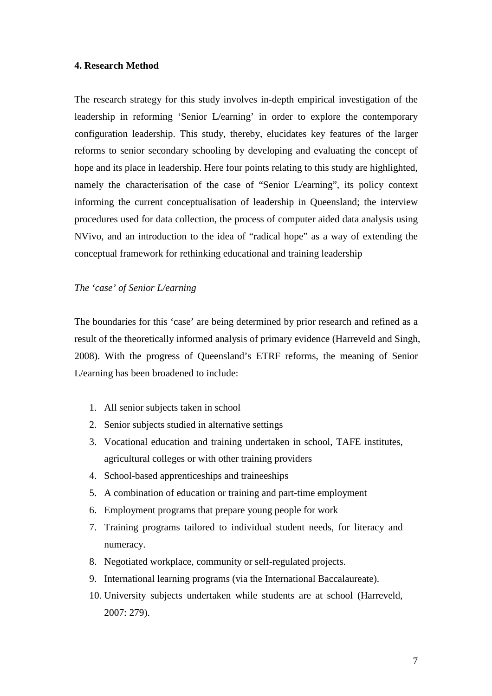## **4. Research Method**

The research strategy for this study involves in-depth empirical investigation of the leadership in reforming 'Senior L/earning' in order to explore the contemporary configuration leadership. This study, thereby, elucidates key features of the larger reforms to senior secondary schooling by developing and evaluating the concept of hope and its place in leadership. Here four points relating to this study are highlighted, namely the characterisation of the case of "Senior L/earning", its policy context informing the current conceptualisation of leadership in Queensland; the interview procedures used for data collection, the process of computer aided data analysis using NVivo, and an introduction to the idea of "radical hope" as a way of extending the conceptual framework for rethinking educational and training leadership

# *The 'case' of Senior L/earning*

The boundaries for this 'case' are being determined by prior research and refined as a result of the theoretically informed analysis of primary evidence (Harreveld and Singh, 2008). With the progress of Queensland's ETRF reforms, the meaning of Senior L/earning has been broadened to include:

- 1. All senior subjects taken in school
- 2. Senior subjects studied in alternative settings
- 3. Vocational education and training undertaken in school, TAFE institutes, agricultural colleges or with other training providers
- 4. School-based apprenticeships and traineeships
- 5. A combination of education or training and part-time employment
- 6. Employment programs that prepare young people for work
- 7. Training programs tailored to individual student needs, for literacy and numeracy.
- 8. Negotiated workplace, community or self-regulated projects.
- 9. International learning programs (via the International Baccalaureate).
- 10. University subjects undertaken while students are at school (Harreveld, 2007: 279).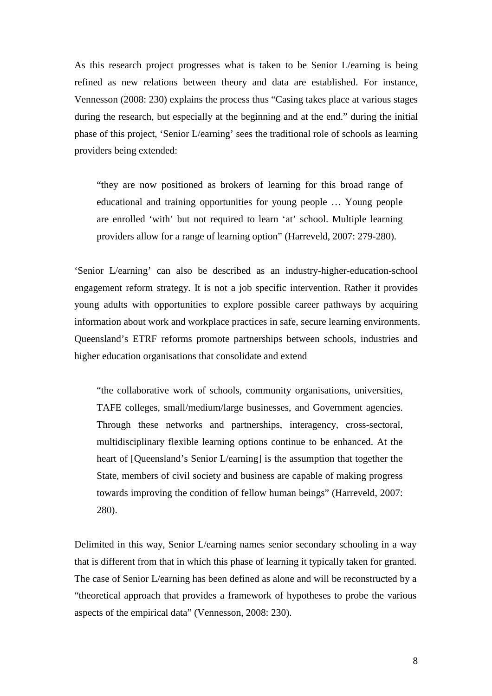As this research project progresses what is taken to be Senior L/earning is being refined as new relations between theory and data are established. For instance, Vennesson (2008: 230) explains the process thus "Casing takes place at various stages during the research, but especially at the beginning and at the end." during the initial phase of this project, 'Senior L/earning' sees the traditional role of schools as learning providers being extended:

"they are now positioned as brokers of learning for this broad range of educational and training opportunities for young people … Young people are enrolled 'with' but not required to learn 'at' school. Multiple learning providers allow for a range of learning option" (Harreveld, 2007: 279-280).

'Senior L/earning' can also be described as an industry-higher-education-school engagement reform strategy. It is not a job specific intervention. Rather it provides young adults with opportunities to explore possible career pathways by acquiring information about work and workplace practices in safe, secure learning environments. Queensland's ETRF reforms promote partnerships between schools, industries and higher education organisations that consolidate and extend

"the collaborative work of schools, community organisations, universities, TAFE colleges, small/medium/large businesses, and Government agencies. Through these networks and partnerships, interagency, cross-sectoral, multidisciplinary flexible learning options continue to be enhanced. At the heart of [Queensland's Senior L/earning] is the assumption that together the State, members of civil society and business are capable of making progress towards improving the condition of fellow human beings" (Harreveld, 2007: 280).

Delimited in this way, Senior L/earning names senior secondary schooling in a way that is different from that in which this phase of learning it typically taken for granted. The case of Senior L/earning has been defined as alone and will be reconstructed by a "theoretical approach that provides a framework of hypotheses to probe the various aspects of the empirical data" (Vennesson, 2008: 230).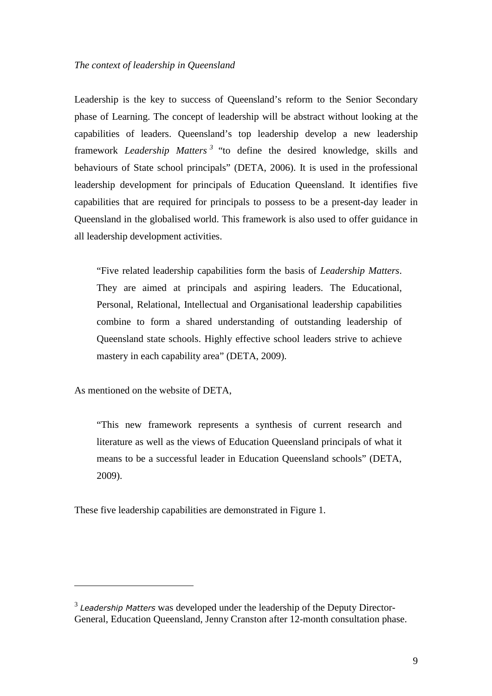Leadership is the key to success of Queensland's reform to the Senior Secondary phase of Learning. The concept of leadership will be abstract without looking at the capabilities of leaders. Queensland's top leadership develop a new leadership framework *Leadership Matters <sup>3</sup>* "to define the desired knowledge, skills and behaviours of State school principals" (DETA, 2006). It is used in the professional leadership development for principals of Education Queensland. It identifies five capabilities that are required for principals to possess to be a present-day leader in Queensland in the globalised world. This framework is also used to offer guidance in all leadership development activities.

"Five related leadership capabilities form the basis of *Leadership Matters*. They are aimed at principals and aspiring leaders. The Educational, Personal, Relational, Intellectual and Organisational leadership capabilities combine to form a shared understanding of outstanding leadership of Queensland state schools. Highly effective school leaders strive to achieve mastery in each capability area" (DETA, 2009).

As mentioned on the website of DETA,

 $\overline{a}$ 

"This new framework represents a synthesis of current research and literature as well as the views of Education Queensland principals of what it means to be a successful leader in Education Queensland schools" (DETA, 2009).

These five leadership capabilities are demonstrated in Figure 1.

 $3$  Leadership Matters was developed under the leadership of the Deputy Director-General, Education Queensland, Jenny Cranston after 12-month consultation phase.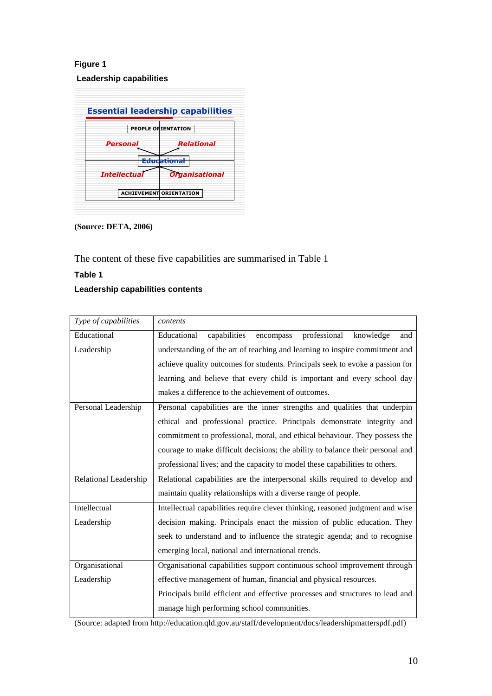# **Figure 1**

 **Leadership capabilities** 

|                     | <b>PEOPLE ORIENTATION</b> |
|---------------------|---------------------------|
| Personal            | Relational                |
|                     | <b>Educational</b>        |
| <b>Intellectual</b> | <b>Organisational</b>     |

**(Source: DETA, 2006)** 

The content of these five capabilities are summarised in Table 1

# **Table 1**

# **Leadership capabilities contents**

| Type of capabilities  | contents                                                                                                                                                                                                                                |  |
|-----------------------|-----------------------------------------------------------------------------------------------------------------------------------------------------------------------------------------------------------------------------------------|--|
| Educational           | capabilities<br>professional<br>Educational<br>encompass<br>knowledge<br>and                                                                                                                                                            |  |
| Leadership            | understanding of the art of teaching and learning to inspire commitment and<br>achieve quality outcomes for students. Principals seek to evoke a passion for<br>learning and believe that every child is important and every school day |  |
|                       |                                                                                                                                                                                                                                         |  |
|                       |                                                                                                                                                                                                                                         |  |
|                       | makes a difference to the achievement of outcomes.                                                                                                                                                                                      |  |
| Personal Leadership   | Personal capabilities are the inner strengths and qualities that underpin                                                                                                                                                               |  |
|                       | ethical and professional practice. Principals demonstrate integrity and                                                                                                                                                                 |  |
|                       | commitment to professional, moral, and ethical behaviour. They possess the                                                                                                                                                              |  |
|                       | courage to make difficult decisions; the ability to balance their personal and                                                                                                                                                          |  |
|                       | professional lives; and the capacity to model these capabilities to others.                                                                                                                                                             |  |
| Relational Leadership | Relational capabilities are the interpersonal skills required to develop and                                                                                                                                                            |  |
|                       | maintain quality relationships with a diverse range of people.                                                                                                                                                                          |  |
| Intellectual          | Intellectual capabilities require clever thinking, reasoned judgment and wise                                                                                                                                                           |  |
| Leadership            | decision making. Principals enact the mission of public education. They                                                                                                                                                                 |  |
|                       | seek to understand and to influence the strategic agenda; and to recognise                                                                                                                                                              |  |
|                       | emerging local, national and international trends.                                                                                                                                                                                      |  |
| Organisational        | Organisational capabilities support continuous school improvement through                                                                                                                                                               |  |
| Leadership            | effective management of human, financial and physical resources.                                                                                                                                                                        |  |
|                       | Principals build efficient and effective processes and structures to lead and                                                                                                                                                           |  |
|                       | manage high performing school communities.                                                                                                                                                                                              |  |

(Source: adapted from http://education.qld.gov.au/staff/development/docs/leadershipmatterspdf.pdf)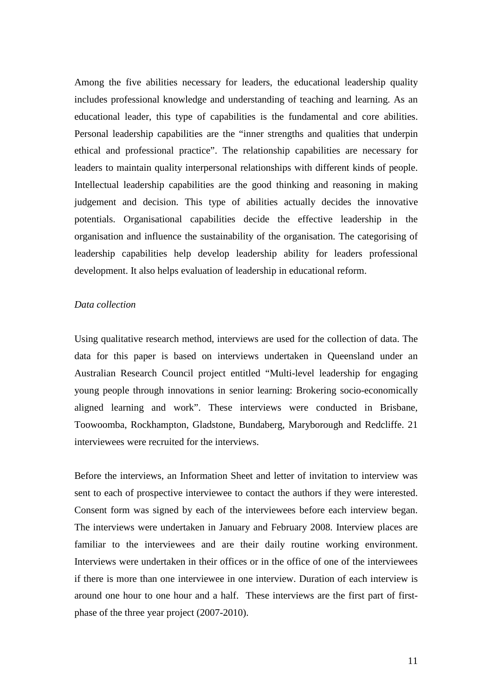Among the five abilities necessary for leaders, the educational leadership quality includes professional knowledge and understanding of teaching and learning. As an educational leader, this type of capabilities is the fundamental and core abilities. Personal leadership capabilities are the "inner strengths and qualities that underpin ethical and professional practice". The relationship capabilities are necessary for leaders to maintain quality interpersonal relationships with different kinds of people. Intellectual leadership capabilities are the good thinking and reasoning in making judgement and decision. This type of abilities actually decides the innovative potentials. Organisational capabilities decide the effective leadership in the organisation and influence the sustainability of the organisation. The categorising of leadership capabilities help develop leadership ability for leaders professional development. It also helps evaluation of leadership in educational reform.

# *Data collection*

Using qualitative research method, interviews are used for the collection of data. The data for this paper is based on interviews undertaken in Queensland under an Australian Research Council project entitled "Multi-level leadership for engaging young people through innovations in senior learning: Brokering socio-economically aligned learning and work". These interviews were conducted in Brisbane, Toowoomba, Rockhampton, Gladstone, Bundaberg, Maryborough and Redcliffe. 21 interviewees were recruited for the interviews.

Before the interviews, an Information Sheet and letter of invitation to interview was sent to each of prospective interviewee to contact the authors if they were interested. Consent form was signed by each of the interviewees before each interview began. The interviews were undertaken in January and February 2008. Interview places are familiar to the interviewees and are their daily routine working environment. Interviews were undertaken in their offices or in the office of one of the interviewees if there is more than one interviewee in one interview. Duration of each interview is around one hour to one hour and a half. These interviews are the first part of firstphase of the three year project (2007-2010).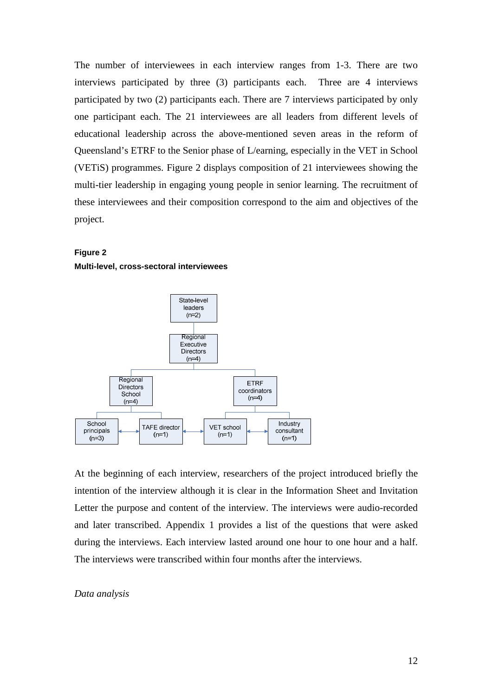The number of interviewees in each interview ranges from 1-3. There are two interviews participated by three (3) participants each. Three are 4 interviews participated by two (2) participants each. There are 7 interviews participated by only one participant each. The 21 interviewees are all leaders from different levels of educational leadership across the above-mentioned seven areas in the reform of Queensland's ETRF to the Senior phase of L/earning, especially in the VET in School (VETiS) programmes. Figure 2 displays composition of 21 interviewees showing the multi-tier leadership in engaging young people in senior learning. The recruitment of these interviewees and their composition correspond to the aim and objectives of the project.

# **Figure 2**

#### **Multi-level, cross-sectoral interviewees**



At the beginning of each interview, researchers of the project introduced briefly the intention of the interview although it is clear in the Information Sheet and Invitation Letter the purpose and content of the interview. The interviews were audio-recorded and later transcribed. Appendix 1 provides a list of the questions that were asked during the interviews. Each interview lasted around one hour to one hour and a half. The interviews were transcribed within four months after the interviews.

## *Data analysis*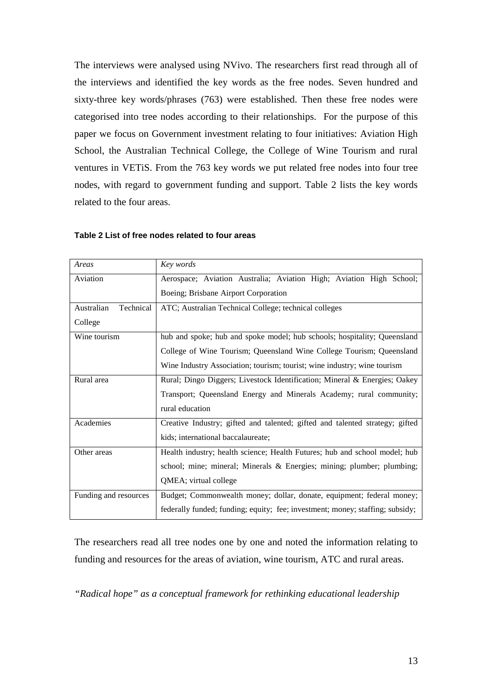The interviews were analysed using NVivo. The researchers first read through all of the interviews and identified the key words as the free nodes. Seven hundred and sixty-three key words/phrases (763) were established. Then these free nodes were categorised into tree nodes according to their relationships. For the purpose of this paper we focus on Government investment relating to four initiatives: Aviation High School, the Australian Technical College, the College of Wine Tourism and rural ventures in VETiS. From the 763 key words we put related free nodes into four tree nodes, with regard to government funding and support. Table 2 lists the key words related to the four areas.

| Areas                   | Key words                                                                     |  |
|-------------------------|-------------------------------------------------------------------------------|--|
| Aviation                | Aerospace; Aviation Australia; Aviation High; Aviation High School;           |  |
|                         | Boeing; Brisbane Airport Corporation                                          |  |
| Technical<br>Australian | ATC; Australian Technical College; technical colleges                         |  |
| College                 |                                                                               |  |
| Wine tourism            | hub and spoke; hub and spoke model; hub schools; hospitality; Queensland      |  |
|                         | College of Wine Tourism; Queensland Wine College Tourism; Queensland          |  |
|                         | Wine Industry Association; tourism; tourist; wine industry; wine tourism      |  |
| Rural area              | Rural; Dingo Diggers; Livestock Identification; Mineral & Energies; Oakey     |  |
|                         | Transport; Queensland Energy and Minerals Academy; rural community;           |  |
|                         | rural education                                                               |  |
| Academies               | Creative Industry; gifted and talented; gifted and talented strategy; gifted  |  |
|                         | kids; international baccalaureate;                                            |  |
| Other areas             | Health industry; health science; Health Futures; hub and school model; hub    |  |
|                         | school; mine; mineral; Minerals & Energies; mining; plumber; plumbing;        |  |
|                         | QMEA; virtual college                                                         |  |
| Funding and resources   | Budget; Commonwealth money; dollar, donate, equipment; federal money;         |  |
|                         | federally funded; funding; equity; fee; investment; money; staffing; subsidy; |  |

# **Table 2 List of free nodes related to four areas**

The researchers read all tree nodes one by one and noted the information relating to funding and resources for the areas of aviation, wine tourism, ATC and rural areas.

*"Radical hope" as a conceptual framework for rethinking educational leadership*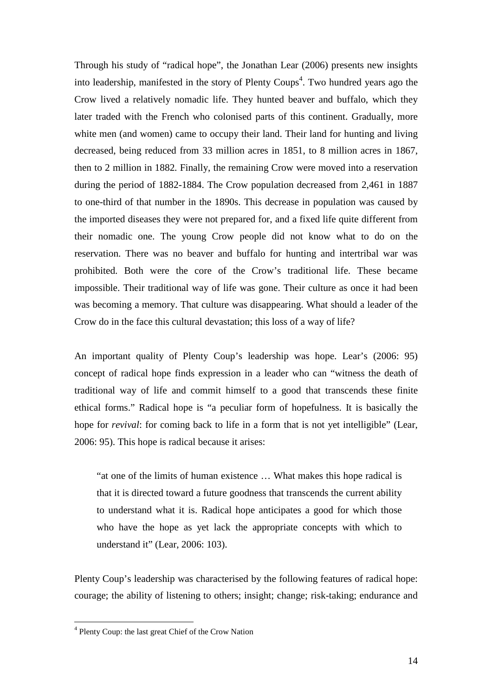Through his study of "radical hope", the Jonathan Lear (2006) presents new insights into leadership, manifested in the story of Plenty Coups<sup>4</sup>. Two hundred years ago the Crow lived a relatively nomadic life. They hunted beaver and buffalo, which they later traded with the French who colonised parts of this continent. Gradually, more white men (and women) came to occupy their land. Their land for hunting and living decreased, being reduced from 33 million acres in 1851, to 8 million acres in 1867, then to 2 million in 1882. Finally, the remaining Crow were moved into a reservation during the period of 1882-1884. The Crow population decreased from 2,461 in 1887 to one-third of that number in the 1890s. This decrease in population was caused by the imported diseases they were not prepared for, and a fixed life quite different from their nomadic one. The young Crow people did not know what to do on the reservation. There was no beaver and buffalo for hunting and intertribal war was prohibited. Both were the core of the Crow's traditional life. These became impossible. Their traditional way of life was gone. Their culture as once it had been was becoming a memory. That culture was disappearing. What should a leader of the Crow do in the face this cultural devastation; this loss of a way of life?

An important quality of Plenty Coup's leadership was hope. Lear's (2006: 95) concept of radical hope finds expression in a leader who can "witness the death of traditional way of life and commit himself to a good that transcends these finite ethical forms." Radical hope is "a peculiar form of hopefulness. It is basically the hope for *revival*: for coming back to life in a form that is not yet intelligible" (Lear, 2006: 95). This hope is radical because it arises:

"at one of the limits of human existence … What makes this hope radical is that it is directed toward a future goodness that transcends the current ability to understand what it is. Radical hope anticipates a good for which those who have the hope as yet lack the appropriate concepts with which to understand it" (Lear, 2006: 103).

Plenty Coup's leadership was characterised by the following features of radical hope: courage; the ability of listening to others; insight; change; risk-taking; endurance and

 $\overline{a}$ 

<sup>&</sup>lt;sup>4</sup> Plenty Coup: the last great Chief of the Crow Nation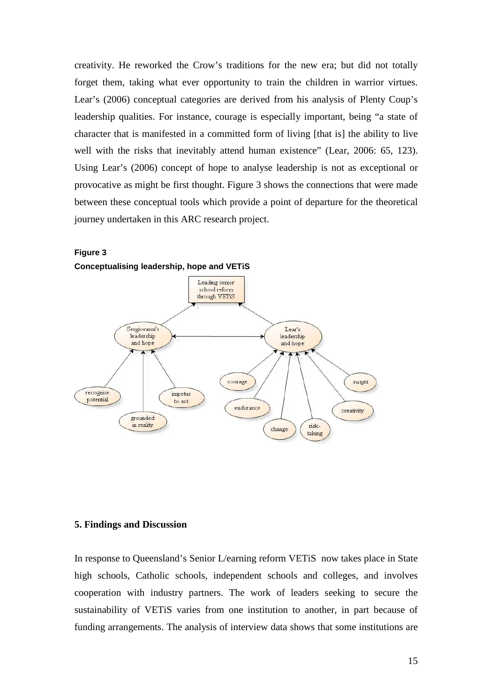creativity. He reworked the Crow's traditions for the new era; but did not totally forget them, taking what ever opportunity to train the children in warrior virtues. Lear's (2006) conceptual categories are derived from his analysis of Plenty Coup's leadership qualities. For instance, courage is especially important, being "a state of character that is manifested in a committed form of living [that is] the ability to live well with the risks that inevitably attend human existence" (Lear, 2006: 65, 123). Using Lear's (2006) concept of hope to analyse leadership is not as exceptional or provocative as might be first thought. Figure 3 shows the connections that were made between these conceptual tools which provide a point of departure for the theoretical journey undertaken in this ARC research project.



**Figure 3 Conceptualising leadership, hope and VETiS** 

#### **5. Findings and Discussion**

In response to Queensland's Senior L/earning reform VETiS now takes place in State high schools, Catholic schools, independent schools and colleges, and involves cooperation with industry partners. The work of leaders seeking to secure the sustainability of VETiS varies from one institution to another, in part because of funding arrangements. The analysis of interview data shows that some institutions are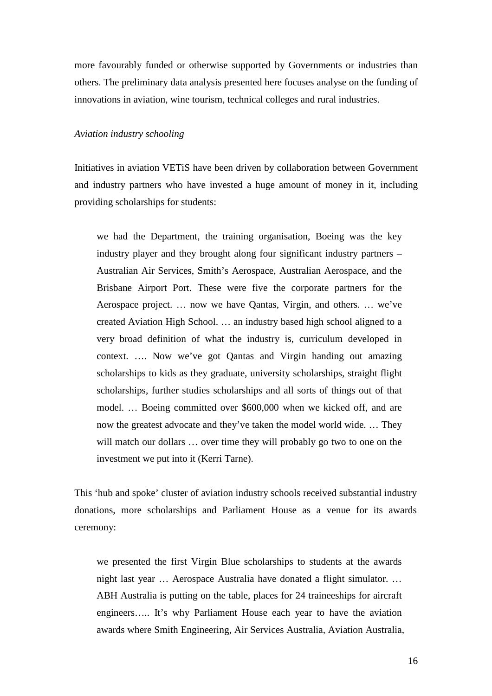more favourably funded or otherwise supported by Governments or industries than others. The preliminary data analysis presented here focuses analyse on the funding of innovations in aviation, wine tourism, technical colleges and rural industries.

#### *Aviation industry schooling*

Initiatives in aviation VETiS have been driven by collaboration between Government and industry partners who have invested a huge amount of money in it, including providing scholarships for students:

we had the Department, the training organisation, Boeing was the key industry player and they brought along four significant industry partners – Australian Air Services, Smith's Aerospace, Australian Aerospace, and the Brisbane Airport Port. These were five the corporate partners for the Aerospace project. … now we have Qantas, Virgin, and others. … we've created Aviation High School. … an industry based high school aligned to a very broad definition of what the industry is, curriculum developed in context. …. Now we've got Qantas and Virgin handing out amazing scholarships to kids as they graduate, university scholarships, straight flight scholarships, further studies scholarships and all sorts of things out of that model. … Boeing committed over \$600,000 when we kicked off, and are now the greatest advocate and they've taken the model world wide. … They will match our dollars ... over time they will probably go two to one on the investment we put into it (Kerri Tarne).

This 'hub and spoke' cluster of aviation industry schools received substantial industry donations, more scholarships and Parliament House as a venue for its awards ceremony:

we presented the first Virgin Blue scholarships to students at the awards night last year … Aerospace Australia have donated a flight simulator. … ABH Australia is putting on the table, places for 24 traineeships for aircraft engineers….. It's why Parliament House each year to have the aviation awards where Smith Engineering, Air Services Australia, Aviation Australia,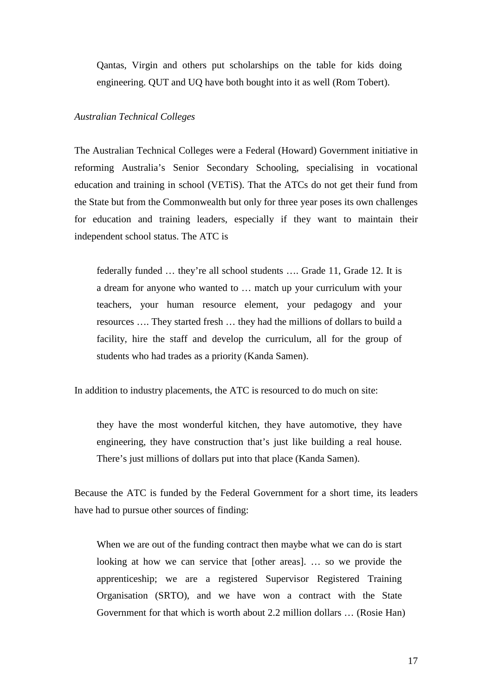Qantas, Virgin and others put scholarships on the table for kids doing engineering. QUT and UQ have both bought into it as well (Rom Tobert).

# *Australian Technical Colleges*

The Australian Technical Colleges were a Federal (Howard) Government initiative in reforming Australia's Senior Secondary Schooling, specialising in vocational education and training in school (VETiS). That the ATCs do not get their fund from the State but from the Commonwealth but only for three year poses its own challenges for education and training leaders, especially if they want to maintain their independent school status. The ATC is

federally funded … they're all school students …. Grade 11, Grade 12. It is a dream for anyone who wanted to … match up your curriculum with your teachers, your human resource element, your pedagogy and your resources …. They started fresh … they had the millions of dollars to build a facility, hire the staff and develop the curriculum, all for the group of students who had trades as a priority (Kanda Samen).

In addition to industry placements, the ATC is resourced to do much on site:

they have the most wonderful kitchen, they have automotive, they have engineering, they have construction that's just like building a real house. There's just millions of dollars put into that place (Kanda Samen).

Because the ATC is funded by the Federal Government for a short time, its leaders have had to pursue other sources of finding:

When we are out of the funding contract then maybe what we can do is start looking at how we can service that [other areas]. … so we provide the apprenticeship; we are a registered Supervisor Registered Training Organisation (SRTO), and we have won a contract with the State Government for that which is worth about 2.2 million dollars … (Rosie Han)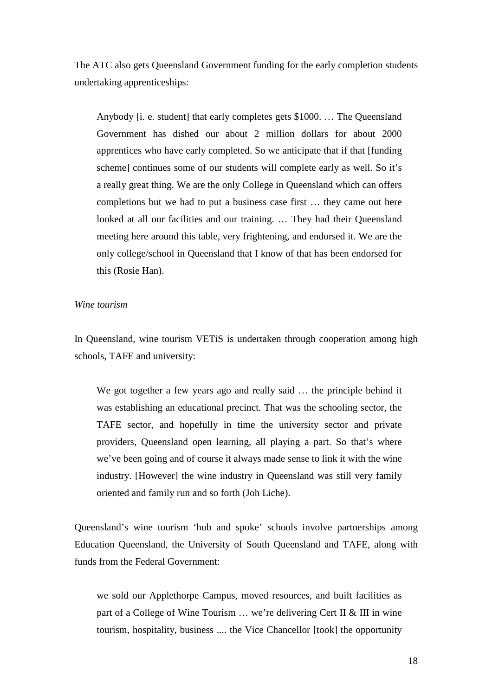The ATC also gets Queensland Government funding for the early completion students undertaking apprenticeships:

Anybody [i. e. student] that early completes gets \$1000. … The Queensland Government has dished our about 2 million dollars for about 2000 apprentices who have early completed. So we anticipate that if that [funding scheme] continues some of our students will complete early as well. So it's a really great thing. We are the only College in Queensland which can offers completions but we had to put a business case first … they came out here looked at all our facilities and our training. ... They had their Queensland meeting here around this table, very frightening, and endorsed it. We are the only college/school in Queensland that I know of that has been endorsed for this (Rosie Han).

# *Wine tourism*

In Queensland, wine tourism VETiS is undertaken through cooperation among high schools, TAFE and university:

We got together a few years ago and really said ... the principle behind it was establishing an educational precinct. That was the schooling sector, the TAFE sector, and hopefully in time the university sector and private providers, Queensland open learning, all playing a part. So that's where we've been going and of course it always made sense to link it with the wine industry. [However] the wine industry in Queensland was still very family oriented and family run and so forth (Joh Liche).

Queensland's wine tourism 'hub and spoke' schools involve partnerships among Education Queensland, the University of South Queensland and TAFE, along with funds from the Federal Government:

we sold our Applethorpe Campus, moved resources, and built facilities as part of a College of Wine Tourism … we're delivering Cert II & III in wine tourism, hospitality, business .... the Vice Chancellor [took] the opportunity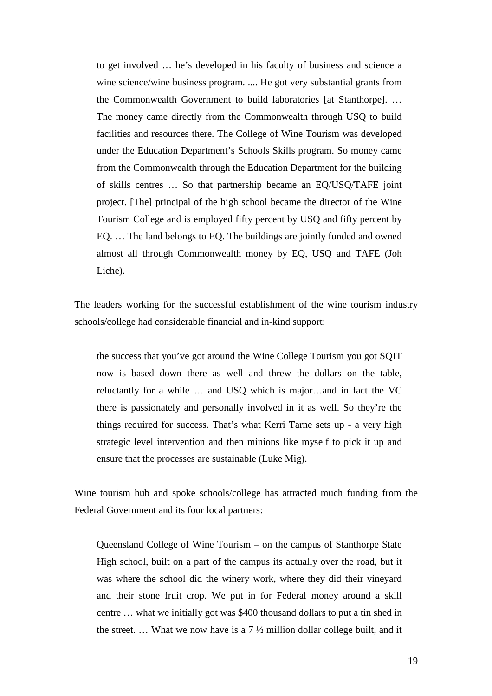to get involved … he's developed in his faculty of business and science a wine science/wine business program. .... He got very substantial grants from the Commonwealth Government to build laboratories [at Stanthorpe]. … The money came directly from the Commonwealth through USQ to build facilities and resources there. The College of Wine Tourism was developed under the Education Department's Schools Skills program. So money came from the Commonwealth through the Education Department for the building of skills centres … So that partnership became an EQ/USQ/TAFE joint project. [The] principal of the high school became the director of the Wine Tourism College and is employed fifty percent by USQ and fifty percent by EQ. … The land belongs to EQ. The buildings are jointly funded and owned almost all through Commonwealth money by EQ, USQ and TAFE (Joh Liche).

The leaders working for the successful establishment of the wine tourism industry schools/college had considerable financial and in-kind support:

the success that you've got around the Wine College Tourism you got SQIT now is based down there as well and threw the dollars on the table, reluctantly for a while … and USQ which is major…and in fact the VC there is passionately and personally involved in it as well. So they're the things required for success. That's what Kerri Tarne sets up - a very high strategic level intervention and then minions like myself to pick it up and ensure that the processes are sustainable (Luke Mig).

Wine tourism hub and spoke schools/college has attracted much funding from the Federal Government and its four local partners:

Queensland College of Wine Tourism – on the campus of Stanthorpe State High school, built on a part of the campus its actually over the road, but it was where the school did the winery work, where they did their vineyard and their stone fruit crop. We put in for Federal money around a skill centre … what we initially got was \$400 thousand dollars to put a tin shed in the street. ... What we now have is a  $7 \frac{1}{2}$  million dollar college built, and it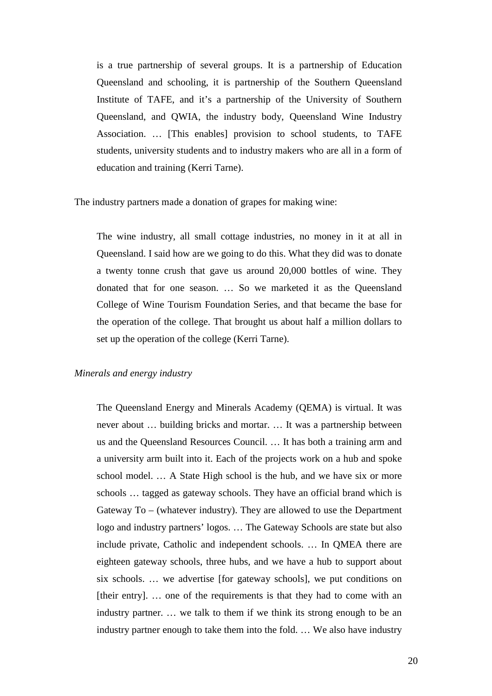is a true partnership of several groups. It is a partnership of Education Queensland and schooling, it is partnership of the Southern Queensland Institute of TAFE, and it's a partnership of the University of Southern Queensland, and QWIA, the industry body, Queensland Wine Industry Association. … [This enables] provision to school students, to TAFE students, university students and to industry makers who are all in a form of education and training (Kerri Tarne).

The industry partners made a donation of grapes for making wine:

The wine industry, all small cottage industries, no money in it at all in Queensland. I said how are we going to do this. What they did was to donate a twenty tonne crush that gave us around 20,000 bottles of wine. They donated that for one season. … So we marketed it as the Queensland College of Wine Tourism Foundation Series, and that became the base for the operation of the college. That brought us about half a million dollars to set up the operation of the college (Kerri Tarne).

# *Minerals and energy industry*

The Queensland Energy and Minerals Academy (QEMA) is virtual. It was never about … building bricks and mortar. … It was a partnership between us and the Queensland Resources Council. … It has both a training arm and a university arm built into it. Each of the projects work on a hub and spoke school model. … A State High school is the hub, and we have six or more schools … tagged as gateway schools. They have an official brand which is Gateway To – (whatever industry). They are allowed to use the Department logo and industry partners' logos. … The Gateway Schools are state but also include private, Catholic and independent schools. … In QMEA there are eighteen gateway schools, three hubs, and we have a hub to support about six schools. … we advertise [for gateway schools], we put conditions on [their entry]. … one of the requirements is that they had to come with an industry partner. … we talk to them if we think its strong enough to be an industry partner enough to take them into the fold. … We also have industry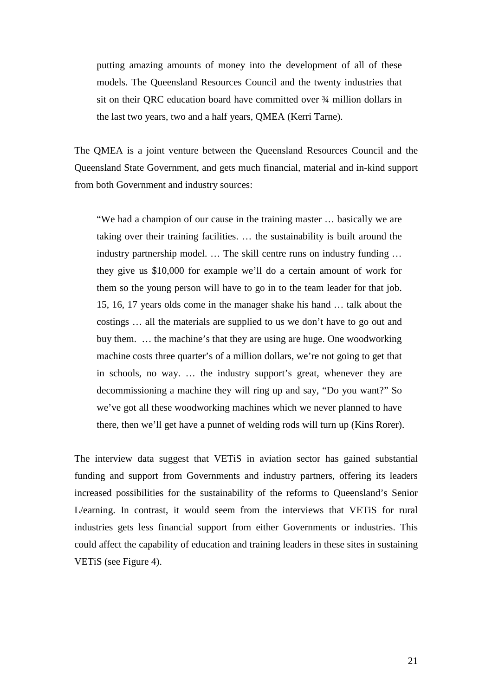putting amazing amounts of money into the development of all of these models. The Queensland Resources Council and the twenty industries that sit on their QRC education board have committed over ¾ million dollars in the last two years, two and a half years, QMEA (Kerri Tarne).

The QMEA is a joint venture between the Queensland Resources Council and the Queensland State Government, and gets much financial, material and in-kind support from both Government and industry sources:

"We had a champion of our cause in the training master … basically we are taking over their training facilities. … the sustainability is built around the industry partnership model. … The skill centre runs on industry funding … they give us \$10,000 for example we'll do a certain amount of work for them so the young person will have to go in to the team leader for that job. 15, 16, 17 years olds come in the manager shake his hand … talk about the costings … all the materials are supplied to us we don't have to go out and buy them. … the machine's that they are using are huge. One woodworking machine costs three quarter's of a million dollars, we're not going to get that in schools, no way. … the industry support's great, whenever they are decommissioning a machine they will ring up and say, "Do you want?" So we've got all these woodworking machines which we never planned to have there, then we'll get have a punnet of welding rods will turn up (Kins Rorer).

The interview data suggest that VETiS in aviation sector has gained substantial funding and support from Governments and industry partners, offering its leaders increased possibilities for the sustainability of the reforms to Queensland's Senior L/earning. In contrast, it would seem from the interviews that VETiS for rural industries gets less financial support from either Governments or industries. This could affect the capability of education and training leaders in these sites in sustaining VETiS (see Figure 4).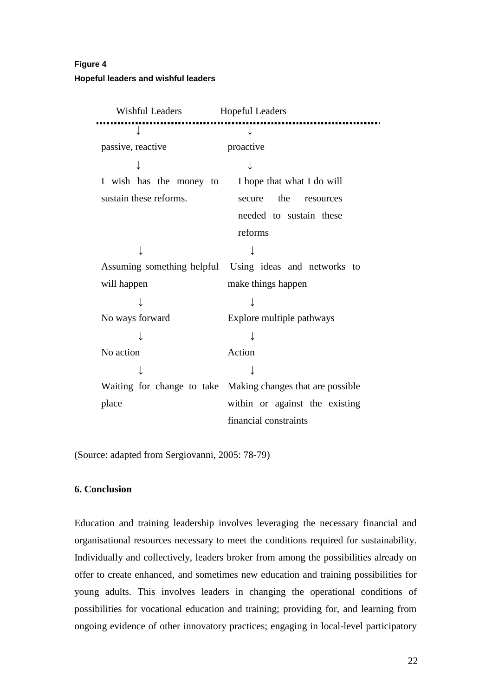# **Figure 4 Hopeful leaders and wishful leaders**

| <b>Wishful Leaders</b>                             | <b>Hopeful Leaders</b>                                      |
|----------------------------------------------------|-------------------------------------------------------------|
|                                                    | ↓                                                           |
| passive, reactive                                  | proactive                                                   |
|                                                    | $\downarrow$                                                |
| I wish has the money to I hope that what I do will |                                                             |
| sustain these reforms.                             | the<br>secure<br>resources                                  |
|                                                    | needed to sustain these                                     |
|                                                    | reforms                                                     |
|                                                    |                                                             |
|                                                    | Assuming something helpful Using ideas and networks to      |
| will happen                                        | make things happen                                          |
|                                                    |                                                             |
| No ways forward                                    | Explore multiple pathways                                   |
|                                                    |                                                             |
| No action                                          | Action                                                      |
|                                                    |                                                             |
|                                                    | Waiting for change to take Making changes that are possible |
| place                                              | within or against the existing                              |
|                                                    | financial constraints                                       |

(Source: adapted from Sergiovanni, 2005: 78-79)

# **6. Conclusion**

Education and training leadership involves leveraging the necessary financial and organisational resources necessary to meet the conditions required for sustainability. Individually and collectively, leaders broker from among the possibilities already on offer to create enhanced, and sometimes new education and training possibilities for young adults. This involves leaders in changing the operational conditions of possibilities for vocational education and training; providing for, and learning from ongoing evidence of other innovatory practices; engaging in local-level participatory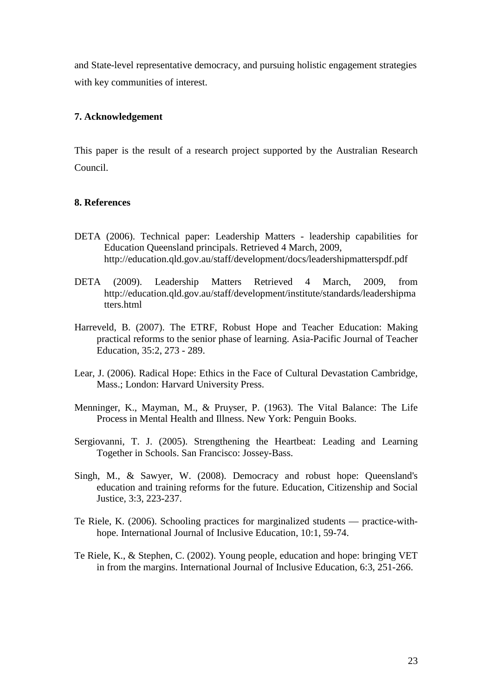and State-level representative democracy, and pursuing holistic engagement strategies with key communities of interest.

# **7. Acknowledgement**

This paper is the result of a research project supported by the Australian Research Council.

### **8. References**

- DETA (2006). Technical paper: Leadership Matters leadership capabilities for Education Queensland principals. Retrieved 4 March, 2009, http://education.qld.gov.au/staff/development/docs/leadershipmatterspdf.pdf
- DETA (2009). Leadership Matters Retrieved 4 March, 2009, from http://education.qld.gov.au/staff/development/institute/standards/leadershipma tters.html
- Harreveld, B. (2007). The ETRF, Robust Hope and Teacher Education: Making practical reforms to the senior phase of learning. Asia-Pacific Journal of Teacher Education*,* 35:2, 273 - 289.
- Lear, J. (2006). Radical Hope: Ethics in the Face of Cultural Devastation Cambridge, Mass.; London: Harvard University Press.
- Menninger, K., Mayman, M., & Pruyser, P. (1963). The Vital Balance: The Life Process in Mental Health and Illness. New York: Penguin Books.
- Sergiovanni, T. J. (2005). Strengthening the Heartbeat: Leading and Learning Together in Schools. San Francisco: Jossey-Bass.
- Singh, M., & Sawyer, W. (2008). Democracy and robust hope: Queensland's education and training reforms for the future. Education, Citizenship and Social Justice, 3:3, 223-237.
- Te Riele, K. (2006). Schooling practices for marginalized students practice-withhope. International Journal of Inclusive Education, 10:1, 59-74.
- Te Riele, K., & Stephen, C. (2002). Young people, education and hope: bringing VET in from the margins. International Journal of Inclusive Education, 6:3, 251-266.